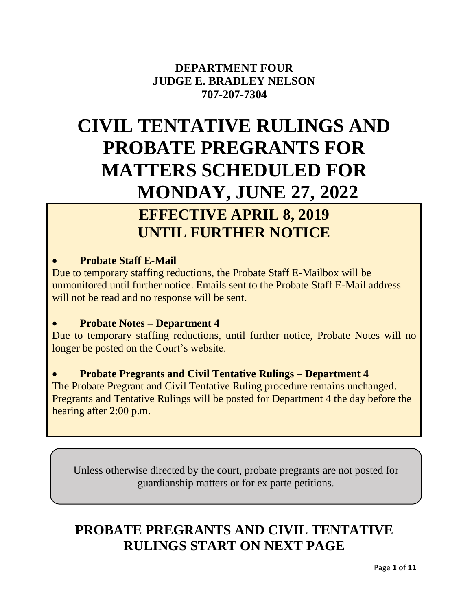# **DEPARTMENT FOUR JUDGE E. BRADLEY NELSON 707-207-7304**

# **CIVIL TENTATIVE RULINGS AND PROBATE PREGRANTS FOR MATTERS SCHEDULED FOR MONDAY, JUNE 27, 2022**

# **EFFECTIVE APRIL 8, 2019 UNTIL FURTHER NOTICE**

# **Probate Staff E-Mail**

Due to temporary staffing reductions, the Probate Staff E-Mailbox will be unmonitored until further notice. Emails sent to the Probate Staff E-Mail address will not be read and no response will be sent.

# **Probate Notes – Department 4**

Due to temporary staffing reductions, until further notice, Probate Notes will no longer be posted on the Court's website.

# **Probate Pregrants and Civil Tentative Rulings – Department 4**

The Probate Pregrant and Civil Tentative Ruling procedure remains unchanged. Pregrants and Tentative Rulings will be posted for Department 4 the day before the hearing after 2:00 p.m.

Unless otherwise directed by the court, probate pregrants are not posted for guardianship matters or for ex parte petitions.

# **PROBATE PREGRANTS AND CIVIL TENTATIVE RULINGS START ON NEXT PAGE**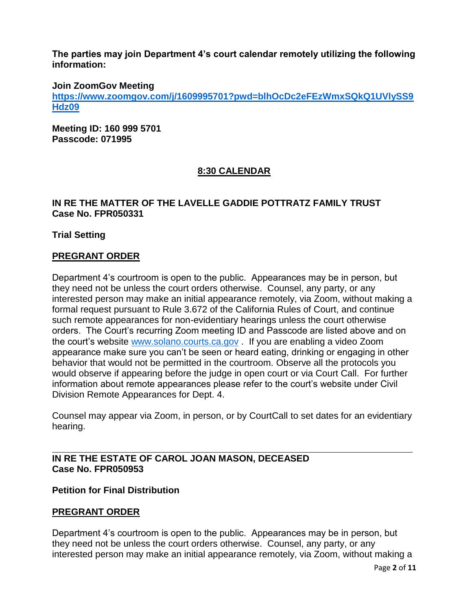**The parties may join Department 4's court calendar remotely utilizing the following information:**

**Join ZoomGov Meeting**

**[https://www.zoomgov.com/j/1609995701?pwd=blhOcDc2eFEzWmxSQkQ1UVlySS9](https://www.zoomgov.com/j/1609995701?pwd=blhOcDc2eFEzWmxSQkQ1UVlySS9Hdz09) [Hdz09](https://www.zoomgov.com/j/1609995701?pwd=blhOcDc2eFEzWmxSQkQ1UVlySS9Hdz09)**

**Meeting ID: 160 999 5701 Passcode: 071995**

# **8:30 CALENDAR**

#### **IN RE THE MATTER OF THE LAVELLE GADDIE POTTRATZ FAMILY TRUST Case No. FPR050331**

**Trial Setting**

#### **PREGRANT ORDER**

Department 4's courtroom is open to the public. Appearances may be in person, but they need not be unless the court orders otherwise. Counsel, any party, or any interested person may make an initial appearance remotely, via Zoom, without making a formal request pursuant to Rule 3.672 of the California Rules of Court, and continue such remote appearances for non-evidentiary hearings unless the court otherwise orders. The Court's recurring Zoom meeting ID and Passcode are listed above and on the court's website [www.solano.courts.ca.gov](http://www.solano.courts.ca.gov/) . If you are enabling a video Zoom appearance make sure you can't be seen or heard eating, drinking or engaging in other behavior that would not be permitted in the courtroom. Observe all the protocols you would observe if appearing before the judge in open court or via Court Call. For further information about remote appearances please refer to the court's website under Civil Division Remote Appearances for Dept. 4.

Counsel may appear via Zoom, in person, or by CourtCall to set dates for an evidentiary hearing.

#### **IN RE THE ESTATE OF CAROL JOAN MASON, DECEASED Case No. FPR050953**

#### **Petition for Final Distribution**

#### **PREGRANT ORDER**

Department 4's courtroom is open to the public. Appearances may be in person, but they need not be unless the court orders otherwise. Counsel, any party, or any interested person may make an initial appearance remotely, via Zoom, without making a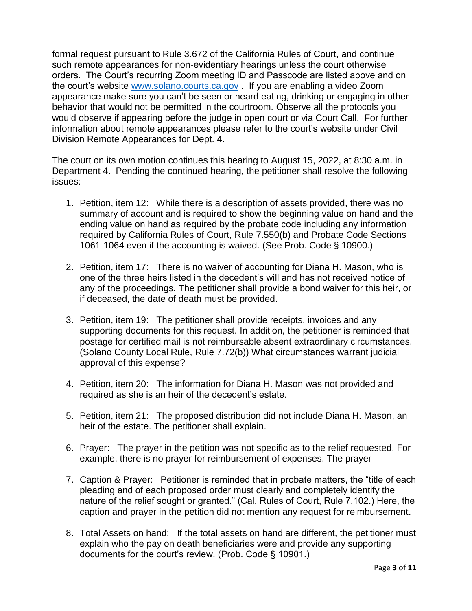formal request pursuant to Rule 3.672 of the California Rules of Court, and continue such remote appearances for non-evidentiary hearings unless the court otherwise orders. The Court's recurring Zoom meeting ID and Passcode are listed above and on the court's website [www.solano.courts.ca.gov](http://www.solano.courts.ca.gov/) . If you are enabling a video Zoom appearance make sure you can't be seen or heard eating, drinking or engaging in other behavior that would not be permitted in the courtroom. Observe all the protocols you would observe if appearing before the judge in open court or via Court Call. For further information about remote appearances please refer to the court's website under Civil Division Remote Appearances for Dept. 4.

The court on its own motion continues this hearing to August 15, 2022, at 8:30 a.m. in Department 4. Pending the continued hearing, the petitioner shall resolve the following issues:

- 1. Petition, item 12: While there is a description of assets provided, there was no summary of account and is required to show the beginning value on hand and the ending value on hand as required by the probate code including any information required by California Rules of Court, Rule 7.550(b) and Probate Code Sections 1061-1064 even if the accounting is waived. (See Prob. Code § 10900.)
- 2. Petition, item 17: There is no waiver of accounting for Diana H. Mason, who is one of the three heirs listed in the decedent's will and has not received notice of any of the proceedings. The petitioner shall provide a bond waiver for this heir, or if deceased, the date of death must be provided.
- 3. Petition, item 19: The petitioner shall provide receipts, invoices and any supporting documents for this request. In addition, the petitioner is reminded that postage for certified mail is not reimbursable absent extraordinary circumstances. (Solano County Local Rule, Rule 7.72(b)) What circumstances warrant judicial approval of this expense?
- 4. Petition, item 20: The information for Diana H. Mason was not provided and required as she is an heir of the decedent's estate.
- 5. Petition, item 21: The proposed distribution did not include Diana H. Mason, an heir of the estate. The petitioner shall explain.
- 6. Prayer: The prayer in the petition was not specific as to the relief requested. For example, there is no prayer for reimbursement of expenses. The prayer
- 7. Caption & Prayer: Petitioner is reminded that in probate matters, the "title of each pleading and of each proposed order must clearly and completely identify the nature of the relief sought or granted." (Cal. Rules of Court, Rule 7.102.) Here, the caption and prayer in the petition did not mention any request for reimbursement.
- 8. Total Assets on hand: If the total assets on hand are different, the petitioner must explain who the pay on death beneficiaries were and provide any supporting documents for the court's review. (Prob. Code § 10901.)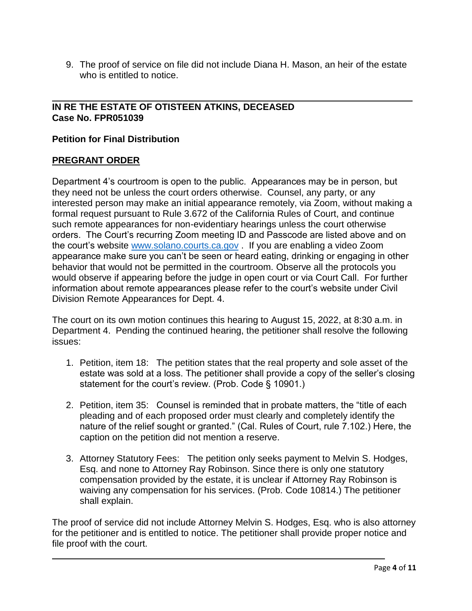9. The proof of service on file did not include Diana H. Mason, an heir of the estate who is entitled to notice.

#### **IN RE THE ESTATE OF OTISTEEN ATKINS, DECEASED Case No. FPR051039**

#### **Petition for Final Distribution**

#### **PREGRANT ORDER**

Department 4's courtroom is open to the public. Appearances may be in person, but they need not be unless the court orders otherwise. Counsel, any party, or any interested person may make an initial appearance remotely, via Zoom, without making a formal request pursuant to Rule 3.672 of the California Rules of Court, and continue such remote appearances for non-evidentiary hearings unless the court otherwise orders. The Court's recurring Zoom meeting ID and Passcode are listed above and on the court's website [www.solano.courts.ca.gov](http://www.solano.courts.ca.gov/) . If you are enabling a video Zoom appearance make sure you can't be seen or heard eating, drinking or engaging in other behavior that would not be permitted in the courtroom. Observe all the protocols you would observe if appearing before the judge in open court or via Court Call. For further information about remote appearances please refer to the court's website under Civil Division Remote Appearances for Dept. 4.

The court on its own motion continues this hearing to August 15, 2022, at 8:30 a.m. in Department 4. Pending the continued hearing, the petitioner shall resolve the following issues:

- 1. Petition, item 18: The petition states that the real property and sole asset of the estate was sold at a loss. The petitioner shall provide a copy of the seller's closing statement for the court's review. (Prob. Code § 10901.)
- 2. Petition, item 35: Counsel is reminded that in probate matters, the "title of each pleading and of each proposed order must clearly and completely identify the nature of the relief sought or granted." (Cal. Rules of Court, rule 7.102.) Here, the caption on the petition did not mention a reserve.
- 3. Attorney Statutory Fees: The petition only seeks payment to Melvin S. Hodges, Esq. and none to Attorney Ray Robinson. Since there is only one statutory compensation provided by the estate, it is unclear if Attorney Ray Robinson is waiving any compensation for his services. (Prob. Code 10814.) The petitioner shall explain.

The proof of service did not include Attorney Melvin S. Hodges, Esq. who is also attorney for the petitioner and is entitled to notice. The petitioner shall provide proper notice and file proof with the court.

 $\overline{a}$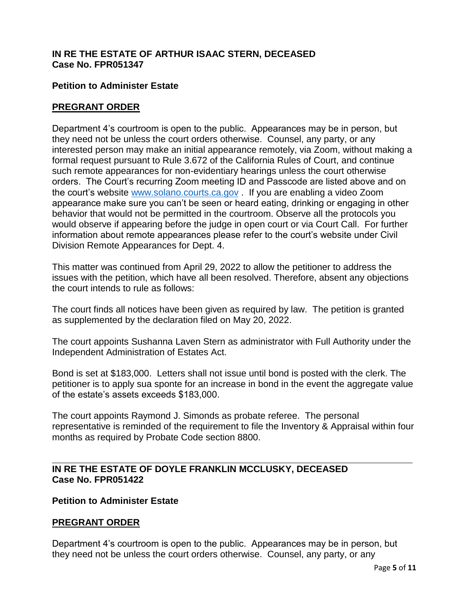#### **IN RE THE ESTATE OF ARTHUR ISAAC STERN, DECEASED Case No. FPR051347**

#### **Petition to Administer Estate**

#### **PREGRANT ORDER**

Department 4's courtroom is open to the public. Appearances may be in person, but they need not be unless the court orders otherwise. Counsel, any party, or any interested person may make an initial appearance remotely, via Zoom, without making a formal request pursuant to Rule 3.672 of the California Rules of Court, and continue such remote appearances for non-evidentiary hearings unless the court otherwise orders. The Court's recurring Zoom meeting ID and Passcode are listed above and on the court's website [www.solano.courts.ca.gov](http://www.solano.courts.ca.gov/) . If you are enabling a video Zoom appearance make sure you can't be seen or heard eating, drinking or engaging in other behavior that would not be permitted in the courtroom. Observe all the protocols you would observe if appearing before the judge in open court or via Court Call. For further information about remote appearances please refer to the court's website under Civil Division Remote Appearances for Dept. 4.

This matter was continued from April 29, 2022 to allow the petitioner to address the issues with the petition, which have all been resolved. Therefore, absent any objections the court intends to rule as follows:

The court finds all notices have been given as required by law. The petition is granted as supplemented by the declaration filed on May 20, 2022.

The court appoints Sushanna Laven Stern as administrator with Full Authority under the Independent Administration of Estates Act.

Bond is set at \$183,000. Letters shall not issue until bond is posted with the clerk. The petitioner is to apply sua sponte for an increase in bond in the event the aggregate value of the estate's assets exceeds \$183,000.

The court appoints Raymond J. Simonds as probate referee. The personal representative is reminded of the requirement to file the Inventory & Appraisal within four months as required by Probate Code section 8800.

#### **IN RE THE ESTATE OF DOYLE FRANKLIN MCCLUSKY, DECEASED Case No. FPR051422**

#### **Petition to Administer Estate**

#### **PREGRANT ORDER**

Department 4's courtroom is open to the public. Appearances may be in person, but they need not be unless the court orders otherwise. Counsel, any party, or any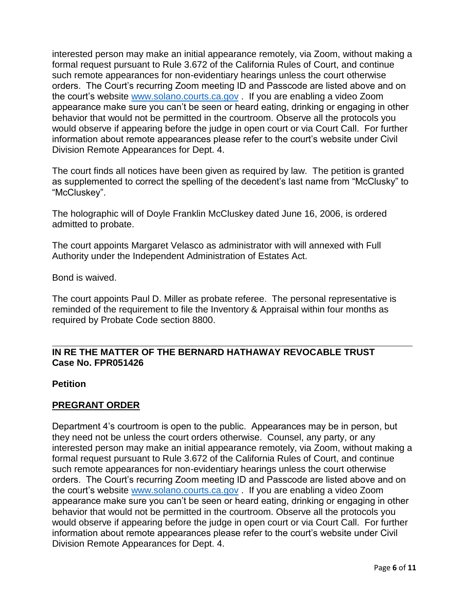interested person may make an initial appearance remotely, via Zoom, without making a formal request pursuant to Rule 3.672 of the California Rules of Court, and continue such remote appearances for non-evidentiary hearings unless the court otherwise orders. The Court's recurring Zoom meeting ID and Passcode are listed above and on the court's website [www.solano.courts.ca.gov](http://www.solano.courts.ca.gov/) . If you are enabling a video Zoom appearance make sure you can't be seen or heard eating, drinking or engaging in other behavior that would not be permitted in the courtroom. Observe all the protocols you would observe if appearing before the judge in open court or via Court Call. For further information about remote appearances please refer to the court's website under Civil Division Remote Appearances for Dept. 4.

The court finds all notices have been given as required by law. The petition is granted as supplemented to correct the spelling of the decedent's last name from "McClusky" to "McCluskey".

The holographic will of Doyle Franklin McCluskey dated June 16, 2006, is ordered admitted to probate.

The court appoints Margaret Velasco as administrator with will annexed with Full Authority under the Independent Administration of Estates Act.

Bond is waived.

The court appoints Paul D. Miller as probate referee. The personal representative is reminded of the requirement to file the Inventory & Appraisal within four months as required by Probate Code section 8800.

#### **IN RE THE MATTER OF THE BERNARD HATHAWAY REVOCABLE TRUST Case No. FPR051426**

#### **Petition**

#### **PREGRANT ORDER**

Department 4's courtroom is open to the public. Appearances may be in person, but they need not be unless the court orders otherwise. Counsel, any party, or any interested person may make an initial appearance remotely, via Zoom, without making a formal request pursuant to Rule 3.672 of the California Rules of Court, and continue such remote appearances for non-evidentiary hearings unless the court otherwise orders. The Court's recurring Zoom meeting ID and Passcode are listed above and on the court's website [www.solano.courts.ca.gov](http://www.solano.courts.ca.gov/) . If you are enabling a video Zoom appearance make sure you can't be seen or heard eating, drinking or engaging in other behavior that would not be permitted in the courtroom. Observe all the protocols you would observe if appearing before the judge in open court or via Court Call. For further information about remote appearances please refer to the court's website under Civil Division Remote Appearances for Dept. 4.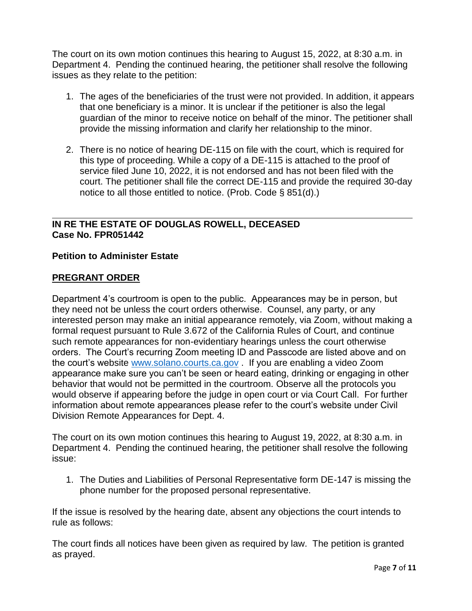The court on its own motion continues this hearing to August 15, 2022, at 8:30 a.m. in Department 4. Pending the continued hearing, the petitioner shall resolve the following issues as they relate to the petition:

- 1. The ages of the beneficiaries of the trust were not provided. In addition, it appears that one beneficiary is a minor. It is unclear if the petitioner is also the legal guardian of the minor to receive notice on behalf of the minor. The petitioner shall provide the missing information and clarify her relationship to the minor.
- 2. There is no notice of hearing DE-115 on file with the court, which is required for this type of proceeding. While a copy of a DE-115 is attached to the proof of service filed June 10, 2022, it is not endorsed and has not been filed with the court. The petitioner shall file the correct DE-115 and provide the required 30-day notice to all those entitled to notice. (Prob. Code § 851(d).)

#### **IN RE THE ESTATE OF DOUGLAS ROWELL, DECEASED Case No. FPR051442**

#### **Petition to Administer Estate**

#### **PREGRANT ORDER**

Department 4's courtroom is open to the public. Appearances may be in person, but they need not be unless the court orders otherwise. Counsel, any party, or any interested person may make an initial appearance remotely, via Zoom, without making a formal request pursuant to Rule 3.672 of the California Rules of Court, and continue such remote appearances for non-evidentiary hearings unless the court otherwise orders. The Court's recurring Zoom meeting ID and Passcode are listed above and on the court's website [www.solano.courts.ca.gov](http://www.solano.courts.ca.gov/) . If you are enabling a video Zoom appearance make sure you can't be seen or heard eating, drinking or engaging in other behavior that would not be permitted in the courtroom. Observe all the protocols you would observe if appearing before the judge in open court or via Court Call. For further information about remote appearances please refer to the court's website under Civil Division Remote Appearances for Dept. 4.

The court on its own motion continues this hearing to August 19, 2022, at 8:30 a.m. in Department 4. Pending the continued hearing, the petitioner shall resolve the following issue:

1. The Duties and Liabilities of Personal Representative form DE-147 is missing the phone number for the proposed personal representative.

If the issue is resolved by the hearing date, absent any objections the court intends to rule as follows:

The court finds all notices have been given as required by law. The petition is granted as prayed.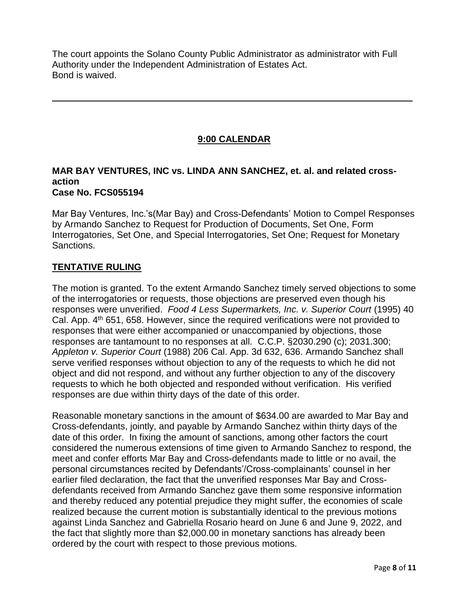The court appoints the Solano County Public Administrator as administrator with Full Authority under the Independent Administration of Estates Act. Bond is waived.

# **9:00 CALENDAR**

#### **MAR BAY VENTURES, INC vs. LINDA ANN SANCHEZ, et. al. and related crossaction Case No. FCS055194**

Mar Bay Ventures, Inc.'s(Mar Bay) and Cross-Defendants' Motion to Compel Responses by Armando Sanchez to Request for Production of Documents, Set One, Form Interrogatories, Set One, and Special Interrogatories, Set One; Request for Monetary Sanctions.

### **TENTATIVE RULING**

The motion is granted. To the extent Armando Sanchez timely served objections to some of the interrogatories or requests, those objections are preserved even though his responses were unverified. *Food 4 Less Supermarkets, Inc. v. Superior Court* (1995) 40 Cal. App. 4<sup>th</sup> 651, 658. However, since the required verifications were not provided to responses that were either accompanied or unaccompanied by objections, those responses are tantamount to no responses at all. C.C.P. §2030.290 (c); 2031.300; *Appleton v. Superior Court* (1988) 206 Cal. App. 3d 632, 636. Armando Sanchez shall serve verified responses without objection to any of the requests to which he did not object and did not respond, and without any further objection to any of the discovery requests to which he both objected and responded without verification. His verified responses are due within thirty days of the date of this order.

Reasonable monetary sanctions in the amount of \$634.00 are awarded to Mar Bay and Cross-defendants, jointly, and payable by Armando Sanchez within thirty days of the date of this order. In fixing the amount of sanctions, among other factors the court considered the numerous extensions of time given to Armando Sanchez to respond, the meet and confer efforts Mar Bay and Cross-defendants made to little or no avail, the personal circumstances recited by Defendants'/Cross-complainants' counsel in her earlier filed declaration, the fact that the unverified responses Mar Bay and Crossdefendants received from Armando Sanchez gave them some responsive information and thereby reduced any potential prejudice they might suffer, the economies of scale realized because the current motion is substantially identical to the previous motions against Linda Sanchez and Gabriella Rosario heard on June 6 and June 9, 2022, and the fact that slightly more than \$2,000.00 in monetary sanctions has already been ordered by the court with respect to those previous motions.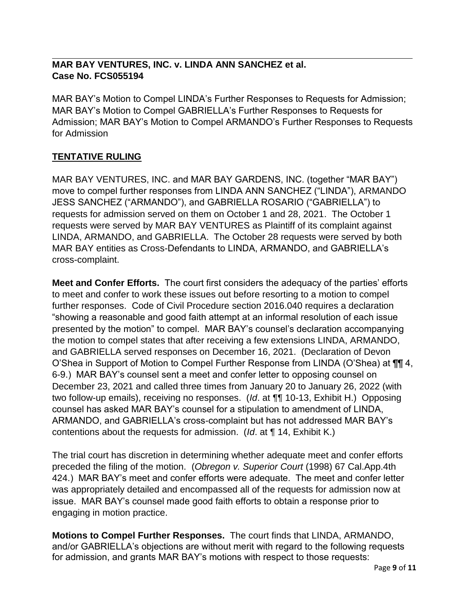# **MAR BAY VENTURES, INC. v. LINDA ANN SANCHEZ et al. Case No. FCS055194**

MAR BAY's Motion to Compel LINDA's Further Responses to Requests for Admission; MAR BAY's Motion to Compel GABRIELLA's Further Responses to Requests for Admission; MAR BAY's Motion to Compel ARMANDO's Further Responses to Requests for Admission

# **TENTATIVE RULING**

MAR BAY VENTURES, INC. and MAR BAY GARDENS, INC. (together "MAR BAY") move to compel further responses from LINDA ANN SANCHEZ ("LINDA"), ARMANDO JESS SANCHEZ ("ARMANDO"), and GABRIELLA ROSARIO ("GABRIELLA") to requests for admission served on them on October 1 and 28, 2021. The October 1 requests were served by MAR BAY VENTURES as Plaintiff of its complaint against LINDA, ARMANDO, and GABRIELLA. The October 28 requests were served by both MAR BAY entities as Cross-Defendants to LINDA, ARMANDO, and GABRIELLA's cross-complaint.

**Meet and Confer Efforts.** The court first considers the adequacy of the parties' efforts to meet and confer to work these issues out before resorting to a motion to compel further responses. Code of Civil Procedure section 2016.040 requires a declaration "showing a reasonable and good faith attempt at an informal resolution of each issue presented by the motion" to compel. MAR BAY's counsel's declaration accompanying the motion to compel states that after receiving a few extensions LINDA, ARMANDO, and GABRIELLA served responses on December 16, 2021. (Declaration of Devon O'Shea in Support of Motion to Compel Further Response from LINDA (O'Shea) at ¶¶ 4, 6-9.) MAR BAY's counsel sent a meet and confer letter to opposing counsel on December 23, 2021 and called three times from January 20 to January 26, 2022 (with two follow-up emails), receiving no responses. (*Id*. at ¶¶ 10-13, Exhibit H.) Opposing counsel has asked MAR BAY's counsel for a stipulation to amendment of LINDA, ARMANDO, and GABRIELLA's cross-complaint but has not addressed MAR BAY's contentions about the requests for admission. (*Id*. at ¶ 14, Exhibit K.)

The trial court has discretion in determining whether adequate meet and confer efforts preceded the filing of the motion. (*Obregon v. Superior Court* (1998) 67 Cal.App.4th 424.) MAR BAY's meet and confer efforts were adequate. The meet and confer letter was appropriately detailed and encompassed all of the requests for admission now at issue. MAR BAY's counsel made good faith efforts to obtain a response prior to engaging in motion practice.

**Motions to Compel Further Responses.** The court finds that LINDA, ARMANDO, and/or GABRIELLA's objections are without merit with regard to the following requests for admission, and grants MAR BAY's motions with respect to those requests: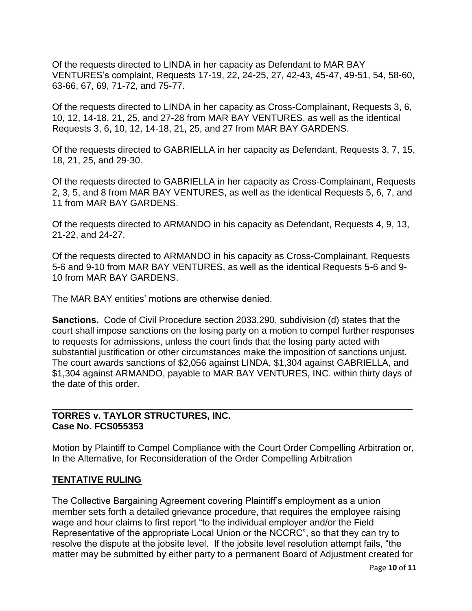Of the requests directed to LINDA in her capacity as Defendant to MAR BAY VENTURES's complaint, Requests 17-19, 22, 24-25, 27, 42-43, 45-47, 49-51, 54, 58-60, 63-66, 67, 69, 71-72, and 75-77.

Of the requests directed to LINDA in her capacity as Cross-Complainant, Requests 3, 6, 10, 12, 14-18, 21, 25, and 27-28 from MAR BAY VENTURES, as well as the identical Requests 3, 6, 10, 12, 14-18, 21, 25, and 27 from MAR BAY GARDENS.

Of the requests directed to GABRIELLA in her capacity as Defendant, Requests 3, 7, 15, 18, 21, 25, and 29-30.

Of the requests directed to GABRIELLA in her capacity as Cross-Complainant, Requests 2, 3, 5, and 8 from MAR BAY VENTURES, as well as the identical Requests 5, 6, 7, and 11 from MAR BAY GARDENS.

Of the requests directed to ARMANDO in his capacity as Defendant, Requests 4, 9, 13, 21-22, and 24-27.

Of the requests directed to ARMANDO in his capacity as Cross-Complainant, Requests 5-6 and 9-10 from MAR BAY VENTURES, as well as the identical Requests 5-6 and 9- 10 from MAR BAY GARDENS.

The MAR BAY entities' motions are otherwise denied.

**Sanctions.** Code of Civil Procedure section 2033.290, subdivision (d) states that the court shall impose sanctions on the losing party on a motion to compel further responses to requests for admissions, unless the court finds that the losing party acted with substantial justification or other circumstances make the imposition of sanctions unjust. The court awards sanctions of \$2,056 against LINDA, \$1,304 against GABRIELLA, and \$1,304 against ARMANDO, payable to MAR BAY VENTURES, INC. within thirty days of the date of this order.

#### **TORRES v. TAYLOR STRUCTURES, INC. Case No. FCS055353**

Motion by Plaintiff to Compel Compliance with the Court Order Compelling Arbitration or, In the Alternative, for Reconsideration of the Order Compelling Arbitration

### **TENTATIVE RULING**

The Collective Bargaining Agreement covering Plaintiff's employment as a union member sets forth a detailed grievance procedure, that requires the employee raising wage and hour claims to first report "to the individual employer and/or the Field Representative of the appropriate Local Union or the NCCRC", so that they can try to resolve the dispute at the jobsite level. If the jobsite level resolution attempt fails, "the matter may be submitted by either party to a permanent Board of Adjustment created for